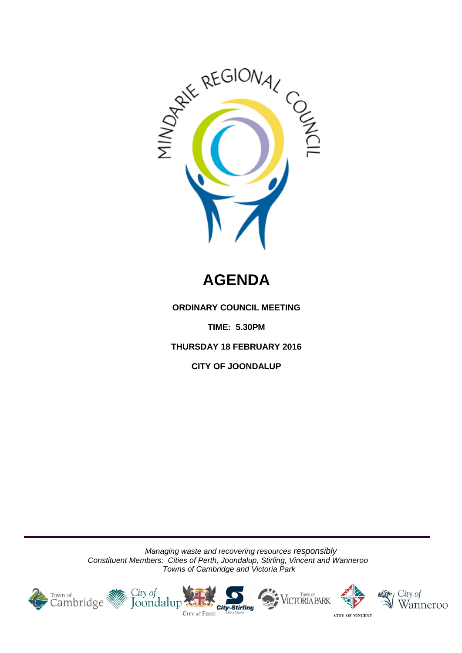

# **AGENDA**

**ORDINARY COUNCIL MEETING**

**TIME: 5.30PM**

**THURSDAY 18 FEBRUARY 2016**

**CITY OF JOONDALUP**

*Managing waste and recovering resources responsibly Constituent Members: Cities of Perth, Joondalup, Stirling, Vincent and Wanneroo Towns of Cambridge and Victoria Park*









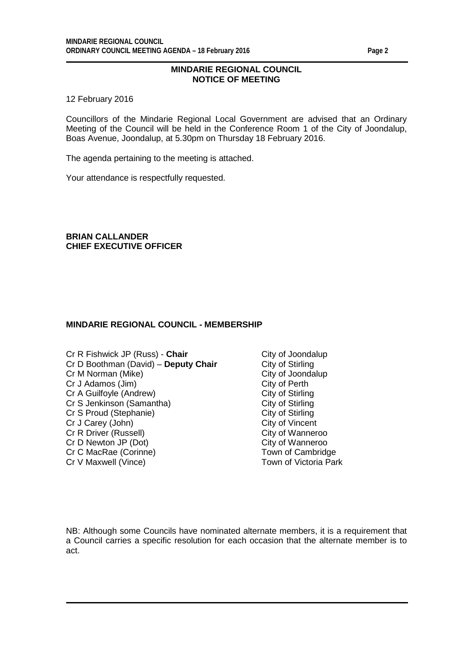#### **MINDARIE REGIONAL COUNCIL NOTICE OF MEETING**

12 February 2016

Councillors of the Mindarie Regional Local Government are advised that an Ordinary Meeting of the Council will be held in the Conference Room 1 of the City of Joondalup, Boas Avenue, Joondalup, at 5.30pm on Thursday 18 February 2016.

The agenda pertaining to the meeting is attached.

Your attendance is respectfully requested.

**BRIAN CALLANDER CHIEF EXECUTIVE OFFICER**

#### **MINDARIE REGIONAL COUNCIL - MEMBERSHIP**

- Cr R Fishwick JP (Russ) **Chair** Cr R Fishwick JP (Russ) **Chair** City of Joondalup Cr D Boothman (David) **Deputy Chair** Cr D Boothman (David) – **Deputy Chair** City of Stirling<br>Cr M Norman (Mike) Cr M Norman (Mike) Cr M Norman (Mike) Cr J Adamos (Jim) City of Perth Cr A Guilfoyle (Andrew)<br>
Cr S Jenkinson (Samantha) City of Stirling<br>
City of Stirling Cr S Jenkinson (Samantha) City of Stirling<br>
Cr S Proud (Stephanie) City of Stirling<br>
City of Stirling Cr S Proud (Stephanie) City of Stirling<br>
Cr J Carey (John) Cr J Carey (John) Cr J Carey (John) City of Vincent<br>
Cr R Driver (Russell) Cr R Driver City of Wanneroo Cr R Driver (Russell) City of Wanneroo<br>
Cr D Newton JP (Dot) City of Wanneroo Cr D Newton JP (Dot) Cr C MacRae (Corinne)<br>
Cr V Maxwell (Vince)<br>
Cr V Maxwell (Vince)<br>
Town of Victoria Park Cr V Maxwell (Vince)
	-

NB: Although some Councils have nominated alternate members, it is a requirement that a Council carries a specific resolution for each occasion that the alternate member is to act.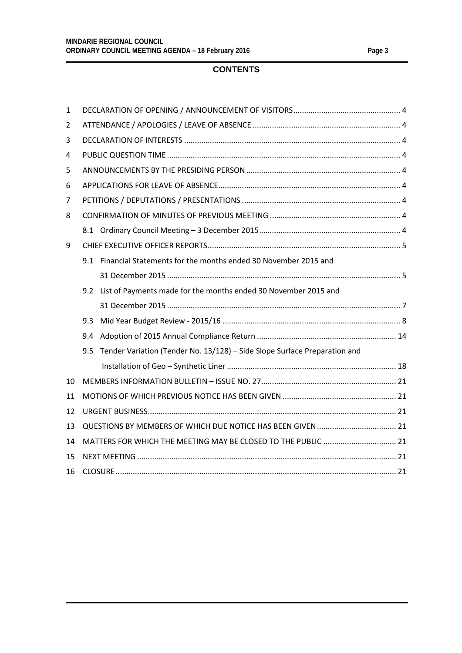## **CONTENTS**

| $\mathbf{1}$ |                                                               |                                                                           |  |  |
|--------------|---------------------------------------------------------------|---------------------------------------------------------------------------|--|--|
| 2            |                                                               |                                                                           |  |  |
| 3            |                                                               |                                                                           |  |  |
| 4            |                                                               |                                                                           |  |  |
| 5            |                                                               |                                                                           |  |  |
| 6            |                                                               |                                                                           |  |  |
| 7            |                                                               |                                                                           |  |  |
| 8            |                                                               |                                                                           |  |  |
|              |                                                               |                                                                           |  |  |
| 9            |                                                               |                                                                           |  |  |
|              |                                                               | 9.1 Financial Statements for the months ended 30 November 2015 and        |  |  |
|              |                                                               |                                                                           |  |  |
|              |                                                               | 9.2 List of Payments made for the months ended 30 November 2015 and       |  |  |
|              |                                                               |                                                                           |  |  |
|              | 9.3                                                           |                                                                           |  |  |
|              | 9.4                                                           |                                                                           |  |  |
|              | 9.5                                                           | Tender Variation (Tender No. 13/128) - Side Slope Surface Preparation and |  |  |
|              |                                                               |                                                                           |  |  |
| 10           |                                                               |                                                                           |  |  |
| 11           |                                                               |                                                                           |  |  |
| 12           |                                                               |                                                                           |  |  |
| 13           |                                                               |                                                                           |  |  |
| 14           | MATTERS FOR WHICH THE MEETING MAY BE CLOSED TO THE PUBLIC  21 |                                                                           |  |  |
| 15           |                                                               |                                                                           |  |  |
| 16           |                                                               |                                                                           |  |  |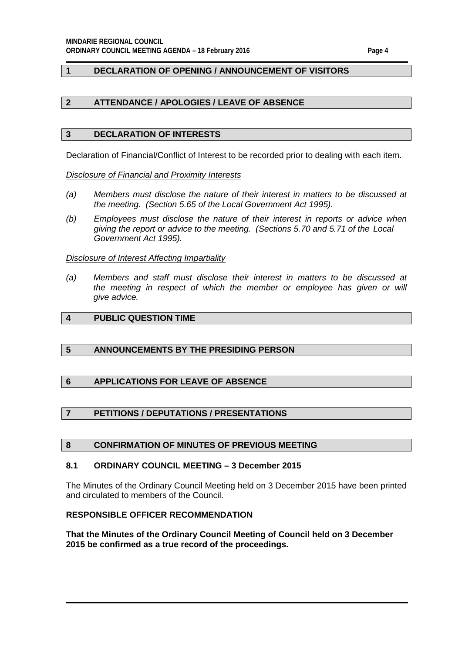#### <span id="page-3-0"></span>**1 DECLARATION OF OPENING / ANNOUNCEMENT OF VISITORS**

#### <span id="page-3-1"></span>**2 ATTENDANCE / APOLOGIES / LEAVE OF ABSENCE**

#### <span id="page-3-2"></span>**3 DECLARATION OF INTERESTS**

Declaration of Financial/Conflict of Interest to be recorded prior to dealing with each item.

*Disclosure of Financial and Proximity Interests*

- *(a) Members must disclose the nature of their interest in matters to be discussed at the meeting. (Section 5.65 of the Local Government Act 1995).*
- *(b) Employees must disclose the nature of their interest in reports or advice when giving the report or advice to the meeting. (Sections 5.70 and 5.71 of the Local Government Act 1995).*

#### *Disclosure of Interest Affecting Impartiality*

*(a) Members and staff must disclose their interest in matters to be discussed at the meeting in respect of which the member or employee has given or will give advice.*

#### <span id="page-3-3"></span>**4 PUBLIC QUESTION TIME**

#### <span id="page-3-4"></span>**5 ANNOUNCEMENTS BY THE PRESIDING PERSON**

#### <span id="page-3-5"></span>**6 APPLICATIONS FOR LEAVE OF ABSENCE**

#### <span id="page-3-6"></span>**7 PETITIONS / DEPUTATIONS / PRESENTATIONS**

#### <span id="page-3-7"></span>**8 CONFIRMATION OF MINUTES OF PREVIOUS MEETING**

#### <span id="page-3-8"></span>**8.1 ORDINARY COUNCIL MEETING – 3 December 2015**

The Minutes of the Ordinary Council Meeting held on 3 December 2015 have been printed and circulated to members of the Council.

#### **RESPONSIBLE OFFICER RECOMMENDATION**

**That the Minutes of the Ordinary Council Meeting of Council held on 3 December 2015 be confirmed as a true record of the proceedings.**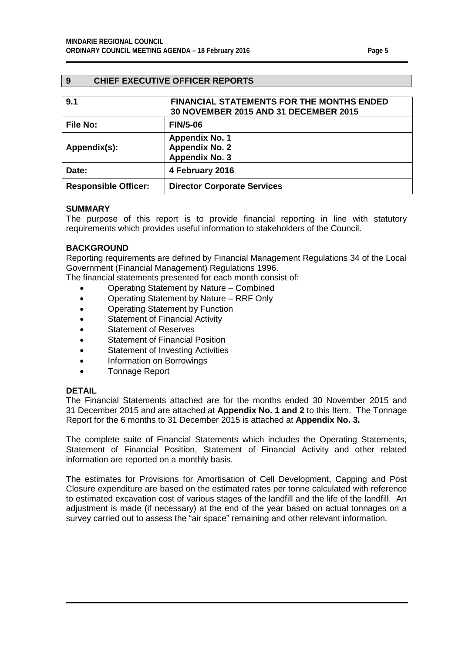### <span id="page-4-0"></span>**9 CHIEF EXECUTIVE OFFICER REPORTS**

<span id="page-4-2"></span><span id="page-4-1"></span>

| 9.1                         | <b>FINANCIAL STATEMENTS FOR THE MONTHS ENDED</b><br>30 NOVEMBER 2015 AND 31 DECEMBER 2015 |
|-----------------------------|-------------------------------------------------------------------------------------------|
| <b>File No:</b>             | <b>FIN/5-06</b>                                                                           |
| Appendix(s):                | <b>Appendix No. 1</b><br><b>Appendix No. 2</b><br><b>Appendix No. 3</b>                   |
| Date:                       | 4 February 2016                                                                           |
| <b>Responsible Officer:</b> | <b>Director Corporate Services</b>                                                        |

#### **SUMMARY**

The purpose of this report is to provide financial reporting in line with statutory requirements which provides useful information to stakeholders of the Council.

#### **BACKGROUND**

Reporting requirements are defined by Financial Management Regulations 34 of the Local Government (Financial Management) Regulations 1996.

The financial statements presented for each month consist of:

- Operating Statement by Nature Combined
- Operating Statement by Nature RRF Only
- Operating Statement by Function
- Statement of Financial Activity
- Statement of Reserves
- Statement of Financial Position
- Statement of Investing Activities
- Information on Borrowings
- Tonnage Report

#### **DETAIL**

The Financial Statements attached are for the months ended 30 November 2015 and 31 December 2015 and are attached at **Appendix No. 1 and 2** to this Item. The Tonnage Report for the 6 months to 31 December 2015 is attached at **Appendix No. 3.**

The complete suite of Financial Statements which includes the Operating Statements, Statement of Financial Position, Statement of Financial Activity and other related information are reported on a monthly basis.

The estimates for Provisions for Amortisation of Cell Development, Capping and Post Closure expenditure are based on the estimated rates per tonne calculated with reference to estimated excavation cost of various stages of the landfill and the life of the landfill. An adjustment is made (if necessary) at the end of the year based on actual tonnages on a survey carried out to assess the "air space" remaining and other relevant information.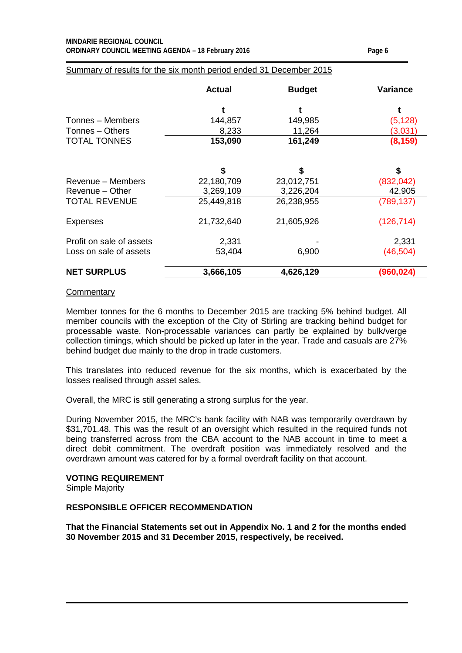#### **MINDARIE REGIONAL COUNCIL ORDINARY COUNCIL MEETING AGENDA – 18 February 2016 Page 6**

#### Summary of results for the six month period ended 31 December 2015

|                          | <b>Actual</b> | <b>Budget</b> | Variance   |
|--------------------------|---------------|---------------|------------|
|                          |               |               |            |
| Tonnes - Members         | 144,857       | 149,985       | (5, 128)   |
| Tonnes - Others          | 8,233         | 11,264        | (3,031)    |
| <b>TOTAL TONNES</b>      | 153,090       | 161,249       | (8, 159)   |
|                          | \$            | \$            | \$         |
| Revenue – Members        | 22,180,709    | 23,012,751    | (832, 042) |
| Revenue - Other          | 3,269,109     | 3,226,204     | 42,905     |
| <b>TOTAL REVENUE</b>     | 25,449,818    | 26,238,955    | (789, 137) |
| <b>Expenses</b>          | 21,732,640    | 21,605,926    | (126, 714) |
| Profit on sale of assets | 2,331         |               | 2,331      |
| Loss on sale of assets   | 53,404        | 6,900         | (46,504)   |
| <b>NET SURPLUS</b>       | 3,666,105     | 4,626,129     | (960,024)  |

#### **Commentary**

Member tonnes for the 6 months to December 2015 are tracking 5% behind budget. All member councils with the exception of the City of Stirling are tracking behind budget for processable waste. Non-processable variances can partly be explained by bulk/verge collection timings, which should be picked up later in the year. Trade and casuals are 27% behind budget due mainly to the drop in trade customers.

This translates into reduced revenue for the six months, which is exacerbated by the losses realised through asset sales.

Overall, the MRC is still generating a strong surplus for the year.

During November 2015, the MRC's bank facility with NAB was temporarily overdrawn by \$31,701.48. This was the result of an oversight which resulted in the required funds not being transferred across from the CBA account to the NAB account in time to meet a direct debit commitment. The overdraft position was immediately resolved and the overdrawn amount was catered for by a formal overdraft facility on that account.

#### **VOTING REQUIREMENT**

Simple Majority

#### **RESPONSIBLE OFFICER RECOMMENDATION**

**That the Financial Statements set out in Appendix No. 1 and 2 for the months ended 30 November 2015 and 31 December 2015, respectively, be received.**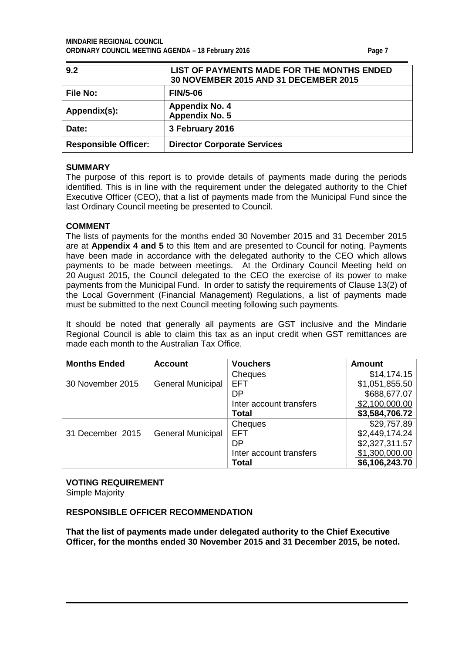<span id="page-6-1"></span><span id="page-6-0"></span>

| 9.2                         | LIST OF PAYMENTS MADE FOR THE MONTHS ENDED<br>30 NOVEMBER 2015 AND 31 DECEMBER 2015 |
|-----------------------------|-------------------------------------------------------------------------------------|
| <b>File No:</b>             | <b>FIN/5-06</b>                                                                     |
| Appendix(s):                | <b>Appendix No. 4</b><br>Appendix No. 5                                             |
| Date:                       | 3 February 2016                                                                     |
| <b>Responsible Officer:</b> | <b>Director Corporate Services</b>                                                  |

#### **SUMMARY**

The purpose of this report is to provide details of payments made during the periods identified. This is in line with the requirement under the delegated authority to the Chief Executive Officer (CEO), that a list of payments made from the Municipal Fund since the last Ordinary Council meeting be presented to Council.

#### **COMMENT**

The lists of payments for the months ended 30 November 2015 and 31 December 2015 are at **Appendix 4 and 5** to this Item and are presented to Council for noting. Payments have been made in accordance with the delegated authority to the CEO which allows payments to be made between meetings. At the Ordinary Council Meeting held on 20 August 2015, the Council delegated to the CEO the exercise of its power to make payments from the Municipal Fund. In order to satisfy the requirements of Clause 13(2) of the Local Government (Financial Management) Regulations, a list of payments made must be submitted to the next Council meeting following such payments.

It should be noted that generally all payments are GST inclusive and the Mindarie Regional Council is able to claim this tax as an input credit when GST remittances are made each month to the Australian Tax Office.

| <b>Months Ended</b> | <b>Account</b>           | <b>Vouchers</b>         | <b>Amount</b>  |
|---------------------|--------------------------|-------------------------|----------------|
|                     |                          | Cheques                 | \$14,174.15    |
| 30 November 2015    | <b>General Municipal</b> | <b>EFT</b>              | \$1,051,855.50 |
|                     |                          | DΡ                      | \$688,677.07   |
|                     |                          | Inter account transfers | \$2,100,000.00 |
|                     |                          | Total                   | \$3,584,706.72 |
|                     |                          | Cheques                 | \$29,757.89    |
| 31 December 2015    | <b>General Municipal</b> | <b>EFT</b>              | \$2,449,174.24 |
|                     |                          | DΡ                      | \$2,327,311.57 |
|                     |                          | Inter account transfers | \$1,300,000.00 |
|                     |                          | Total                   | \$6,106,243.70 |

#### **VOTING REQUIREMENT**

Simple Majority

#### **RESPONSIBLE OFFICER RECOMMENDATION**

**That the list of payments made under delegated authority to the Chief Executive Officer, for the months ended 30 November 2015 and 31 December 2015, be noted.**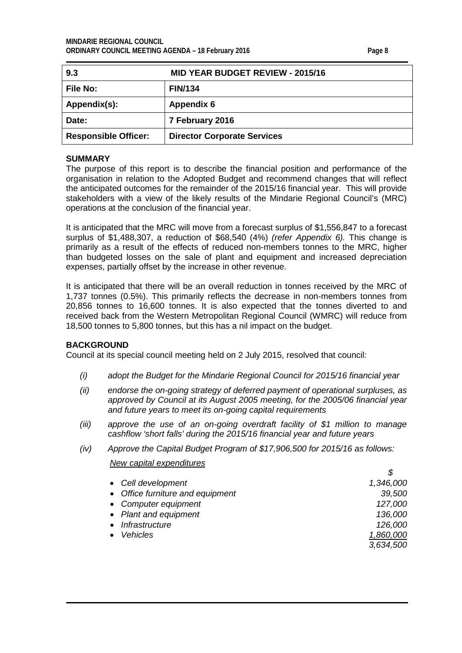<span id="page-7-0"></span>

| 9.3                         | <b>MID YEAR BUDGET REVIEW - 2015/16</b> |
|-----------------------------|-----------------------------------------|
| <b>File No:</b>             | <b>FIN/134</b>                          |
| Appendix(s):                | <b>Appendix 6</b>                       |
| Date:                       | 7 February 2016                         |
| <b>Responsible Officer:</b> | <b>Director Corporate Services</b>      |

#### **SUMMARY**

The purpose of this report is to describe the financial position and performance of the organisation in relation to the Adopted Budget and recommend changes that will reflect the anticipated outcomes for the remainder of the 2015/16 financial year. This will provide stakeholders with a view of the likely results of the Mindarie Regional Council's (MRC) operations at the conclusion of the financial year.

It is anticipated that the MRC will move from a forecast surplus of \$1,556,847 to a forecast surplus of \$1,488,307, a reduction of \$68,540 (4%) *(refer Appendix 6).* This change is primarily as a result of the effects of reduced non-members tonnes to the MRC, higher than budgeted losses on the sale of plant and equipment and increased depreciation expenses, partially offset by the increase in other revenue.

It is anticipated that there will be an overall reduction in tonnes received by the MRC of 1,737 tonnes (0.5%). This primarily reflects the decrease in non-members tonnes from 20,856 tonnes to 16,600 tonnes. It is also expected that the tonnes diverted to and received back from the Western Metropolitan Regional Council (WMRC) will reduce from 18,500 tonnes to 5,800 tonnes, but this has a nil impact on the budget.

#### **BACKGROUND**

Council at its special council meeting held on 2 July 2015, resolved that council:

- *(i) adopt the Budget for the Mindarie Regional Council for 2015/16 financial year*
- *(ii) endorse the on-going strategy of deferred payment of operational surpluses, as approved by Council at its August 2005 meeting, for the 2005/06 financial year and future years to meet its on-going capital requirements*
- *(iii) approve the use of an on-going overdraft facility of \$1 million to manage cashflow 'short falls' during the 2015/16 financial year and future years*
- *(iv) Approve the Capital Budget Program of \$17,906,500 for 2015/16 as follows:*

#### *New capital expenditures*

| • Cell development               | 1,346,000 |
|----------------------------------|-----------|
| • Office furniture and equipment | 39,500    |
| • Computer equipment             | 127,000   |
| • Plant and equipment            | 136,000   |
| Infrastructure                   | 126,000   |
| <b>Vehicles</b>                  | 1,860,000 |
|                                  | 3,634,500 |
|                                  |           |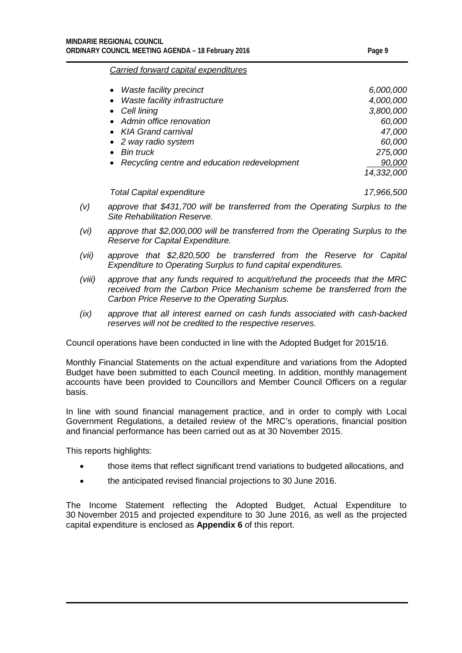#### *Carried forward capital expenditures*

| Waste facility precinct<br>$\bullet$           | 6,000,000  |
|------------------------------------------------|------------|
| Waste facility infrastructure<br>$\bullet$     | 4,000,000  |
| • Cell lining                                  | 3,800,000  |
| • Admin office renovation                      | 60,000     |
| • KIA Grand carnival                           | 47,000     |
| • 2 way radio system                           | 60,000     |
| <b>Bin truck</b>                               | 275,000    |
| • Recycling centre and education redevelopment | 90,000     |
|                                                | 14,332,000 |
|                                                |            |

*Total Capital expenditure 17,966,500*

- *(v) approve that \$431,700 will be transferred from the Operating Surplus to the Site Rehabilitation Reserve.*
- *(vi) approve that \$2,000,000 will be transferred from the Operating Surplus to the Reserve for Capital Expenditure.*
- *(vii) approve that \$2,820,500 be transferred from the Reserve for Capital Expenditure to Operating Surplus to fund capital expenditures.*
- *(viii) approve that any funds required to acquit/refund the proceeds that the MRC received from the Carbon Price Mechanism scheme be transferred from the Carbon Price Reserve to the Operating Surplus.*
- *(ix) approve that all interest earned on cash funds associated with cash-backed reserves will not be credited to the respective reserves.*

Council operations have been conducted in line with the Adopted Budget for 2015/16.

Monthly Financial Statements on the actual expenditure and variations from the Adopted Budget have been submitted to each Council meeting. In addition, monthly management accounts have been provided to Councillors and Member Council Officers on a regular basis.

In line with sound financial management practice, and in order to comply with Local Government Regulations, a detailed review of the MRC's operations, financial position and financial performance has been carried out as at 30 November 2015.

This reports highlights:

- those items that reflect significant trend variations to budgeted allocations, and
- the anticipated revised financial projections to 30 June 2016.

The Income Statement reflecting the Adopted Budget, Actual Expenditure to 30 November 2015 and projected expenditure to 30 June 2016, as well as the projected capital expenditure is enclosed as **Appendix 6** of this report.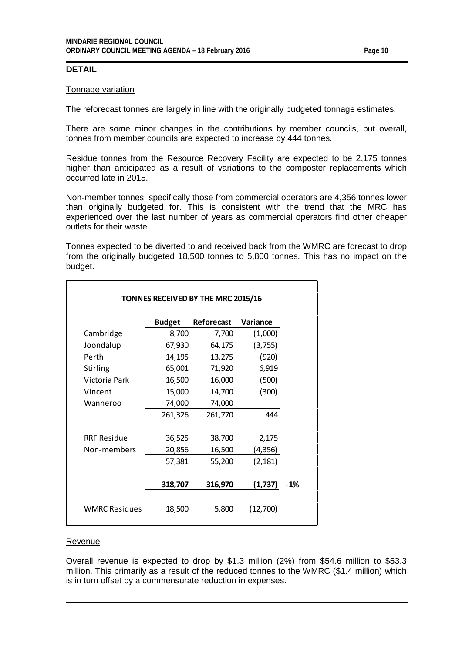#### **DETAIL**

#### Tonnage variation

The reforecast tonnes are largely in line with the originally budgeted tonnage estimates.

There are some minor changes in the contributions by member councils, but overall, tonnes from member councils are expected to increase by 444 tonnes.

Residue tonnes from the Resource Recovery Facility are expected to be 2,175 tonnes higher than anticipated as a result of variations to the composter replacements which occurred late in 2015.

Non-member tonnes, specifically those from commercial operators are 4,356 tonnes lower than originally budgeted for. This is consistent with the trend that the MRC has experienced over the last number of years as commercial operators find other cheaper outlets for their waste.

Tonnes expected to be diverted to and received back from the WMRC are forecast to drop from the originally budgeted 18,500 tonnes to 5,800 tonnes. This has no impact on the budget.

|                      | <b>Budget</b> | Reforecast | Variance |
|----------------------|---------------|------------|----------|
| Cambridge            | 8,700         | 7,700      | (1,000)  |
| Joondalup            | 67,930        | 64,175     | (3,755)  |
| Perth                | 14,195        | 13,275     | (920)    |
| Stirling             | 65,001        | 71,920     | 6,919    |
| Victoria Park        | 16,500        | 16,000     | (500)    |
| Vincent              | 15,000        | 14,700     | (300)    |
| Wanneroo             | 74,000        | 74,000     |          |
|                      | 261,326       | 261,770    | 444      |
| <b>RRF Residue</b>   | 36,525        | 38,700     | 2,175    |
| Non-members          | 20,856        | 16,500     | (4, 356) |
|                      | 57,381        | 55,200     | (2, 181) |
|                      | 318,707       | 316,970    | (1,737)  |
| <b>WMRC Residues</b> | 18,500        | 5,800      | (12,700) |

#### Revenue

Overall revenue is expected to drop by \$1.3 million (2%) from \$54.6 million to \$53.3 million. This primarily as a result of the reduced tonnes to the WMRC (\$1.4 million) which is in turn offset by a commensurate reduction in expenses.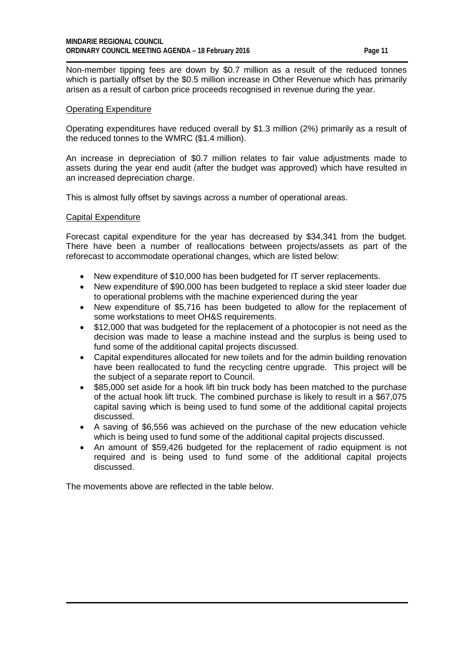Non-member tipping fees are down by \$0.7 million as a result of the reduced tonnes which is partially offset by the \$0.5 million increase in Other Revenue which has primarily arisen as a result of carbon price proceeds recognised in revenue during the year.

#### Operating Expenditure

Operating expenditures have reduced overall by \$1.3 million (2%) primarily as a result of the reduced tonnes to the WMRC (\$1.4 million).

An increase in depreciation of \$0.7 million relates to fair value adjustments made to assets during the year end audit (after the budget was approved) which have resulted in an increased depreciation charge.

This is almost fully offset by savings across a number of operational areas.

#### Capital Expenditure

Forecast capital expenditure for the year has decreased by \$34,341 from the budget. There have been a number of reallocations between projects/assets as part of the reforecast to accommodate operational changes, which are listed below:

- New expenditure of \$10,000 has been budgeted for IT server replacements.
- New expenditure of \$90,000 has been budgeted to replace a skid steer loader due to operational problems with the machine experienced during the year
- New expenditure of \$5,716 has been budgeted to allow for the replacement of some workstations to meet OH&S requirements.
- \$12,000 that was budgeted for the replacement of a photocopier is not need as the decision was made to lease a machine instead and the surplus is being used to fund some of the additional capital projects discussed.
- Capital expenditures allocated for new toilets and for the admin building renovation have been reallocated to fund the recycling centre upgrade. This project will be the subject of a separate report to Council.
- \$85,000 set aside for a hook lift bin truck body has been matched to the purchase of the actual hook lift truck. The combined purchase is likely to result in a \$67,075 capital saving which is being used to fund some of the additional capital projects discussed.
- A saving of \$6,556 was achieved on the purchase of the new education vehicle which is being used to fund some of the additional capital projects discussed.
- An amount of \$59,426 budgeted for the replacement of radio equipment is not required and is being used to fund some of the additional capital projects discussed.

The movements above are reflected in the table below.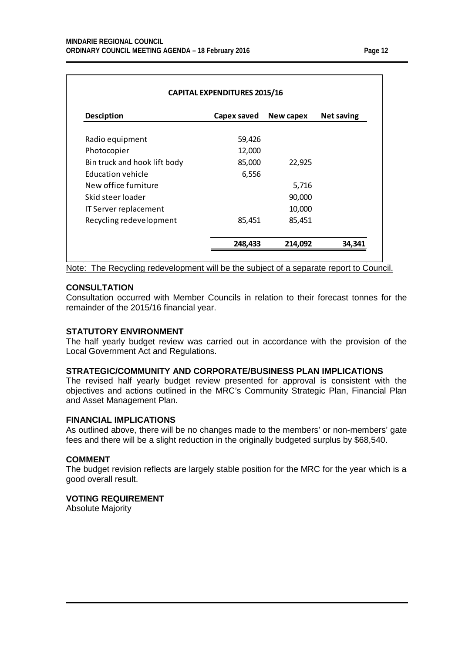| <b>Desciption</b>            | Capex saved | New capex | <b>Net saving</b> |
|------------------------------|-------------|-----------|-------------------|
| Radio equipment              | 59,426      |           |                   |
| Photocopier                  | 12,000      |           |                   |
| Bin truck and hook lift body | 85,000      | 22,925    |                   |
| Education vehicle            | 6,556       |           |                   |
| New office furniture         |             | 5,716     |                   |
| Skid steer loader            |             | 90,000    |                   |
| IT Server replacement        |             | 10,000    |                   |
| Recycling redevelopment      | 85,451      | 85,451    |                   |

Note: The Recycling redevelopment will be the subject of a separate report to Council.

#### **CONSULTATION**

Consultation occurred with Member Councils in relation to their forecast tonnes for the remainder of the 2015/16 financial year.

#### **STATUTORY ENVIRONMENT**

The half yearly budget review was carried out in accordance with the provision of the Local Government Act and Regulations.

#### **STRATEGIC/COMMUNITY AND CORPORATE/BUSINESS PLAN IMPLICATIONS**

The revised half yearly budget review presented for approval is consistent with the objectives and actions outlined in the MRC's Community Strategic Plan, Financial Plan and Asset Management Plan.

#### **FINANCIAL IMPLICATIONS**

As outlined above, there will be no changes made to the members' or non-members' gate fees and there will be a slight reduction in the originally budgeted surplus by \$68,540.

#### **COMMENT**

The budget revision reflects are largely stable position for the MRC for the year which is a good overall result.

#### **VOTING REQUIREMENT**

Absolute Majority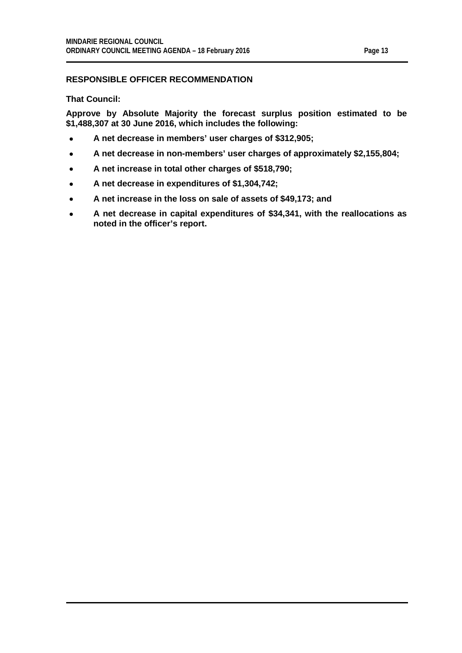#### **RESPONSIBLE OFFICER RECOMMENDATION**

**That Council:**

**Approve by Absolute Majority the forecast surplus position estimated to be \$1,488,307 at 30 June 2016, which includes the following:**

- **A net decrease in members' user charges of \$312,905;**
- **A net decrease in non-members' user charges of approximately \$2,155,804;**
- **A net increase in total other charges of \$518,790;**
- **A net decrease in expenditures of \$1,304,742;**
- **A net increase in the loss on sale of assets of \$49,173; and**
- **A net decrease in capital expenditures of \$34,341, with the reallocations as noted in the officer's report.**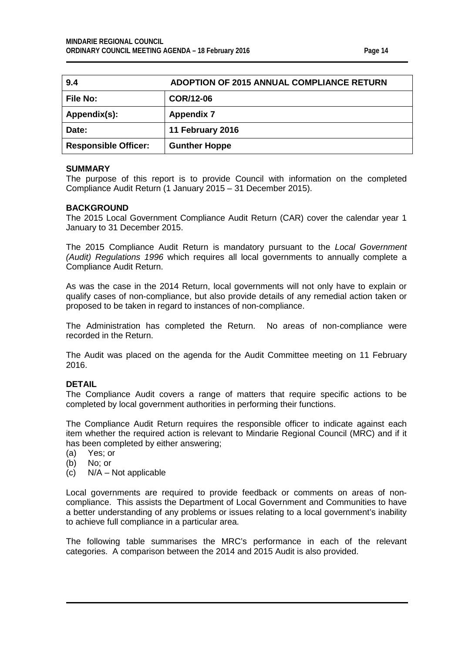<span id="page-13-0"></span>

| 9.4                         | <b>ADOPTION OF 2015 ANNUAL COMPLIANCE RETURN</b> |
|-----------------------------|--------------------------------------------------|
| <b>File No:</b>             | <b>COR/12-06</b>                                 |
| Appendix(s):                | <b>Appendix 7</b>                                |
| Date:                       | 11 February 2016                                 |
| <b>Responsible Officer:</b> | <b>Gunther Hoppe</b>                             |

#### **SUMMARY**

The purpose of this report is to provide Council with information on the completed Compliance Audit Return (1 January 2015 – 31 December 2015).

#### **BACKGROUND**

The 2015 Local Government Compliance Audit Return (CAR) cover the calendar year 1 January to 31 December 2015.

The 2015 Compliance Audit Return is mandatory pursuant to the *Local Government (Audit) Regulations 1996* which requires all local governments to annually complete a Compliance Audit Return.

As was the case in the 2014 Return, local governments will not only have to explain or qualify cases of non-compliance, but also provide details of any remedial action taken or proposed to be taken in regard to instances of non-compliance.

The Administration has completed the Return. No areas of non-compliance were recorded in the Return.

The Audit was placed on the agenda for the Audit Committee meeting on 11 February 2016.

#### **DETAIL**

The Compliance Audit covers a range of matters that require specific actions to be completed by local government authorities in performing their functions.

The Compliance Audit Return requires the responsible officer to indicate against each item whether the required action is relevant to Mindarie Regional Council (MRC) and if it has been completed by either answering;

(a) Yes; or

- (b) No; or
- (c) N/A Not applicable

Local governments are required to provide feedback or comments on areas of noncompliance. This assists the Department of Local Government and Communities to have a better understanding of any problems or issues relating to a local government's inability to achieve full compliance in a particular area.

The following table summarises the MRC's performance in each of the relevant categories. A comparison between the 2014 and 2015 Audit is also provided.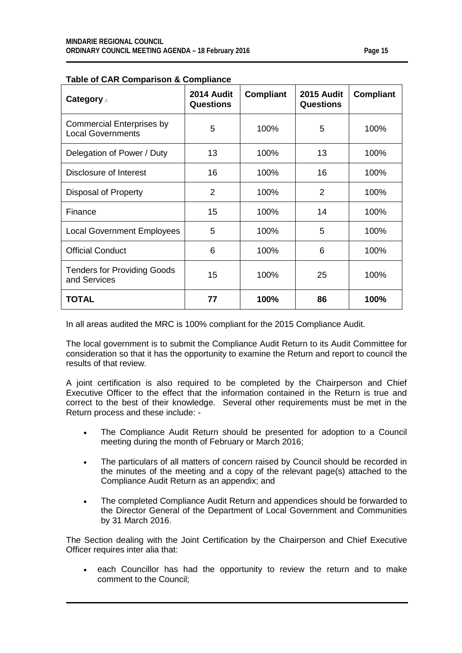| Category 4                                                   | 2014 Audit<br><b>Questions</b> | <b>Compliant</b> | 2015 Audit<br><b>Questions</b> | <b>Compliant</b> |
|--------------------------------------------------------------|--------------------------------|------------------|--------------------------------|------------------|
| <b>Commercial Enterprises by</b><br><b>Local Governments</b> | 5                              | 100%             | 5                              | 100%             |
| Delegation of Power / Duty                                   | 13                             | 100%             | 13                             | 100%             |
| Disclosure of Interest                                       | 16                             | 100%             | 16                             | 100%             |
| Disposal of Property                                         | $\overline{2}$                 | 100%             | 2                              | 100%             |
| Finance                                                      | 15                             | 100%             | 14                             | 100%             |
| <b>Local Government Employees</b>                            | 5                              | 100%             | 5                              | 100%             |
| <b>Official Conduct</b>                                      | 6                              | 100%             | 6                              | 100%             |
| <b>Tenders for Providing Goods</b><br>and Services           | 15                             | 100%             | 25                             | 100%             |
| <b>TOTAL</b>                                                 | 77                             | 100%             | 86                             | 100%             |

#### **Table of CAR Comparison & Compliance**

In all areas audited the MRC is 100% compliant for the 2015 Compliance Audit.

The local government is to submit the Compliance Audit Return to its Audit Committee for consideration so that it has the opportunity to examine the Return and report to council the results of that review.

A joint certification is also required to be completed by the Chairperson and Chief Executive Officer to the effect that the information contained in the Return is true and correct to the best of their knowledge. Several other requirements must be met in the Return process and these include: -

- The Compliance Audit Return should be presented for adoption to a Council meeting during the month of February or March 2016;
- The particulars of all matters of concern raised by Council should be recorded in the minutes of the meeting and a copy of the relevant page(s) attached to the Compliance Audit Return as an appendix; and
- The completed Compliance Audit Return and appendices should be forwarded to the Director General of the Department of Local Government and Communities by 31 March 2016.

The Section dealing with the Joint Certification by the Chairperson and Chief Executive Officer requires inter alia that:

each Councillor has had the opportunity to review the return and to make comment to the Council;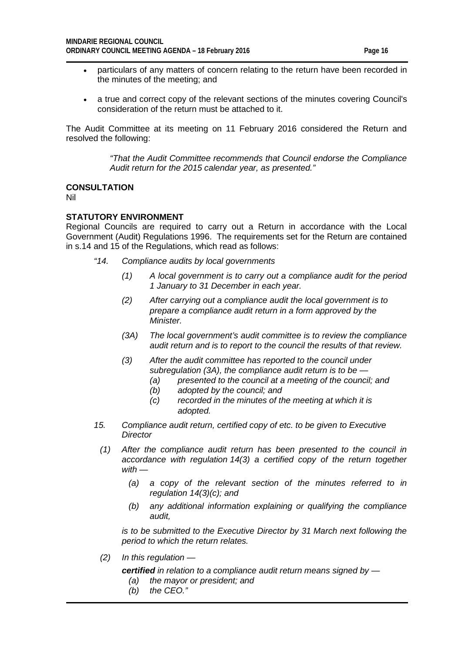- particulars of any matters of concern relating to the return have been recorded in the minutes of the meeting; and
- a true and correct copy of the relevant sections of the minutes covering Council's consideration of the return must be attached to it.

The Audit Committee at its meeting on 11 February 2016 considered the Return and resolved the following:

> *"That the Audit Committee recommends that Council endorse the Compliance Audit return for the 2015 calendar year, as presented."*

#### **CONSULTATION**

Nil

#### **STATUTORY ENVIRONMENT**

Regional Councils are required to carry out a Return in accordance with the Local Government (Audit) Regulations 1996. The requirements set for the Return are contained in s.14 and 15 of the Regulations, which read as follows:

- *"14. Compliance audits by local governments*
	- *(1) A local government is to carry out a compliance audit for the period 1 January to 31 December in each year.*
	- *(2) After carrying out a compliance audit the local government is to prepare a compliance audit return in a form approved by the Minister.*
	- *(3A) The local government's audit committee is to review the compliance audit return and is to report to the council the results of that review.*
	- *(3) After the audit committee has reported to the council under subregulation (3A), the compliance audit return is to be —*
		- *(a) presented to the council at a meeting of the council; and*
		- *(b) adopted by the council; and*
		- *(c) recorded in the minutes of the meeting at which it is adopted.*
- *15. Compliance audit return, certified copy of etc. to be given to Executive Director*
	- *(1) After the compliance audit return has been presented to the council in accordance with regulation 14(3) a certified copy of the return together with —*
		- *(a) a copy of the relevant section of the minutes referred to in regulation 14(3)(c); and*
		- *(b) any additional information explaining or qualifying the compliance audit,*

*is to be submitted to the Executive Director by 31 March next following the period to which the return relates.*

- *(2) In this regulation* 
	- *certified in relation to a compliance audit return means signed by —*
		- *(a) the mayor or president; and*
		- *(b) the CEO."*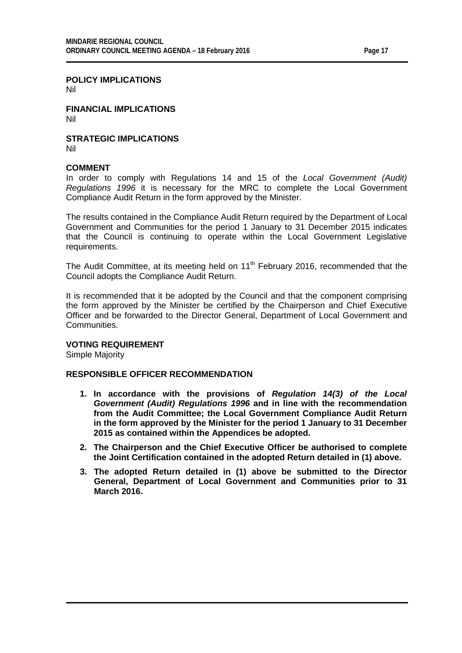#### **POLICY IMPLICATIONS**

Nil

**FINANCIAL IMPLICATIONS** Nil

**STRATEGIC IMPLICATIONS** Nil

#### **COMMENT**

In order to comply with Regulations 14 and 15 of the *Local Government (Audit) Regulations 1996* it is necessary for the MRC to complete the Local Government Compliance Audit Return in the form approved by the Minister.

The results contained in the Compliance Audit Return required by the Department of Local Government and Communities for the period 1 January to 31 December 2015 indicates that the Council is continuing to operate within the Local Government Legislative requirements.

The Audit Committee, at its meeting held on 11<sup>th</sup> February 2016, recommended that the Council adopts the Compliance Audit Return.

It is recommended that it be adopted by the Council and that the component comprising the form approved by the Minister be certified by the Chairperson and Chief Executive Officer and be forwarded to the Director General, Department of Local Government and **Communities** 

#### **VOTING REQUIREMENT**

Simple Majority

#### **RESPONSIBLE OFFICER RECOMMENDATION**

- **1. In accordance with the provisions of** *Regulation 14(3) of the Local Government (Audit) Regulations 1996* **and in line with the recommendation from the Audit Committee; the Local Government Compliance Audit Return in the form approved by the Minister for the period 1 January to 31 December 2015 as contained within the Appendices be adopted.**
- **2. The Chairperson and the Chief Executive Officer be authorised to complete the Joint Certification contained in the adopted Return detailed in (1) above.**
- **3. The adopted Return detailed in (1) above be submitted to the Director General, Department of Local Government and Communities prior to 31 March 2016.**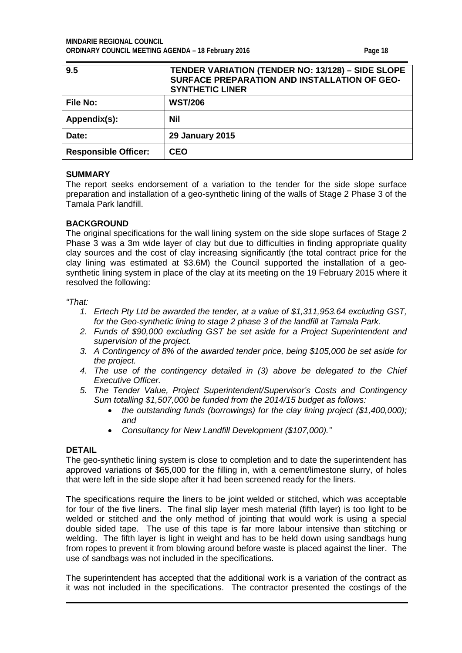<span id="page-17-0"></span>

| 9.5                         | <b>TENDER VARIATION (TENDER NO: 13/128) - SIDE SLOPE</b><br>SURFACE PREPARATION AND INSTALLATION OF GEO-<br><b>SYNTHETIC LINER</b> |
|-----------------------------|------------------------------------------------------------------------------------------------------------------------------------|
| <b>File No:</b>             | <b>WST/206</b>                                                                                                                     |
| Appendix(s):                | Nil                                                                                                                                |
| Date:                       | <b>29 January 2015</b>                                                                                                             |
| <b>Responsible Officer:</b> | <b>CEO</b>                                                                                                                         |

#### **SUMMARY**

The report seeks endorsement of a variation to the tender for the side slope surface preparation and installation of a geo-synthetic lining of the walls of Stage 2 Phase 3 of the Tamala Park landfill.

#### **BACKGROUND**

The original specifications for the wall lining system on the side slope surfaces of Stage 2 Phase 3 was a 3m wide layer of clay but due to difficulties in finding appropriate quality clay sources and the cost of clay increasing significantly (the total contract price for the clay lining was estimated at \$3.6M) the Council supported the installation of a geosynthetic lining system in place of the clay at its meeting on the 19 February 2015 where it resolved the following:

*"That:*

- *1. Ertech Pty Ltd be awarded the tender, at a value of \$1,311,953.64 excluding GST, for the Geo-synthetic lining to stage 2 phase 3 of the landfill at Tamala Park.*
- *2. Funds of \$90,000 excluding GST be set aside for a Project Superintendent and supervision of the project.*
- *3. A Contingency of 8% of the awarded tender price, being \$105,000 be set aside for the project.*
- *4. The use of the contingency detailed in (3) above be delegated to the Chief Executive Officer.*
- *5. The Tender Value, Project Superintendent/Supervisor's Costs and Contingency Sum totalling \$1,507,000 be funded from the 2014/15 budget as follows:* 
	- *the outstanding funds (borrowings) for the clay lining project (\$1,400,000); and*
	- *Consultancy for New Landfill Development (\$107,000)."*

#### **DETAIL**

The geo-synthetic lining system is close to completion and to date the superintendent has approved variations of \$65,000 for the filling in, with a cement/limestone slurry, of holes that were left in the side slope after it had been screened ready for the liners.

The specifications require the liners to be joint welded or stitched, which was acceptable for four of the five liners. The final slip layer mesh material (fifth layer) is too light to be welded or stitched and the only method of jointing that would work is using a special double sided tape. The use of this tape is far more labour intensive than stitching or welding. The fifth layer is light in weight and has to be held down using sandbags hung from ropes to prevent it from blowing around before waste is placed against the liner. The use of sandbags was not included in the specifications.

The superintendent has accepted that the additional work is a variation of the contract as it was not included in the specifications. The contractor presented the costings of the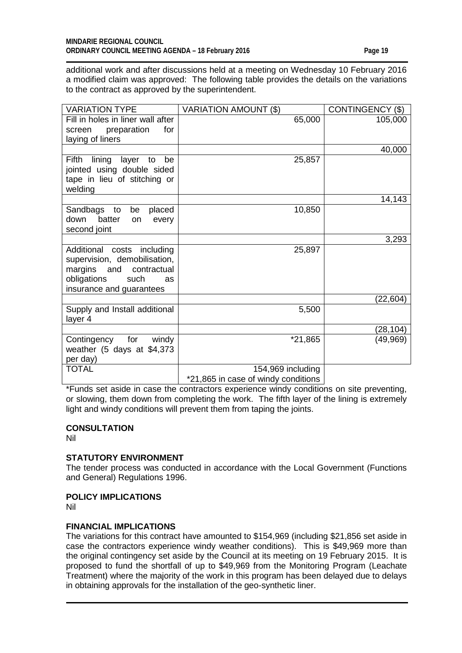additional work and after discussions held at a meeting on Wednesday 10 February 2016 a modified claim was approved: The following table provides the details on the variations to the contract as approved by the superintendent.

| <b>VARIATION TYPE</b>                                                                                                                                | <b>VARIATION AMOUNT (\$)</b>        | <b>CONTINGENCY (\$)</b> |
|------------------------------------------------------------------------------------------------------------------------------------------------------|-------------------------------------|-------------------------|
| Fill in holes in liner wall after<br>for<br>preparation<br>screen<br>laying of liners                                                                | 65,000                              | 105,000                 |
|                                                                                                                                                      |                                     | 40,000                  |
| Fifth<br>lining<br>layer to<br>be<br>jointed using double sided<br>tape in lieu of stitching or<br>welding                                           | 25,857                              |                         |
|                                                                                                                                                      |                                     | 14,143                  |
| Sandbags<br>to<br>be<br>placed<br>down<br>batter<br>every<br>on<br>second joint                                                                      | 10,850                              |                         |
|                                                                                                                                                      |                                     | 3,293                   |
| Additional costs including<br>supervision, demobilisation,<br>margins<br>and<br>contractual<br>obligations<br>such<br>as<br>insurance and guarantees | 25,897                              |                         |
|                                                                                                                                                      |                                     | (22,604)                |
| Supply and Install additional<br>layer 4                                                                                                             | 5,500                               |                         |
|                                                                                                                                                      |                                     | (28, 104)               |
| for<br>Contingency<br>windy<br>weather (5 days at \$4,373<br>per day)                                                                                | *21,865                             | (49, 969)               |
| <b>TOTAL</b>                                                                                                                                         | 154,969 including                   |                         |
|                                                                                                                                                      | *21,865 in case of windy conditions |                         |

\*Funds set aside in case the contractors experience windy conditions on site preventing, or slowing, them down from completing the work. The fifth layer of the lining is extremely light and windy conditions will prevent them from taping the joints.

#### **CONSULTATION**

Nil

#### **STATUTORY ENVIRONMENT**

The tender process was conducted in accordance with the Local Government (Functions and General) Regulations 1996.

#### **POLICY IMPLICATIONS**

Nil

#### **FINANCIAL IMPLICATIONS**

The variations for this contract have amounted to \$154,969 (including \$21,856 set aside in case the contractors experience windy weather conditions). This is \$49,969 more than the original contingency set aside by the Council at its meeting on 19 February 2015. It is proposed to fund the shortfall of up to \$49,969 from the Monitoring Program (Leachate Treatment) where the majority of the work in this program has been delayed due to delays in obtaining approvals for the installation of the geo-synthetic liner.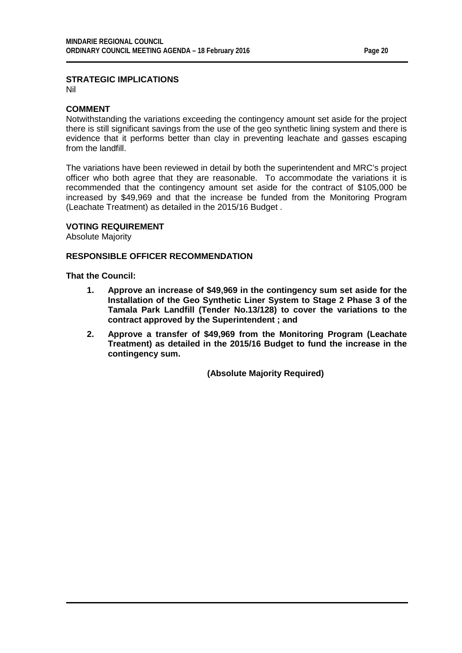Nil

#### **COMMENT**

Notwithstanding the variations exceeding the contingency amount set aside for the project there is still significant savings from the use of the geo synthetic lining system and there is evidence that it performs better than clay in preventing leachate and gasses escaping from the landfill.

The variations have been reviewed in detail by both the superintendent and MRC's project officer who both agree that they are reasonable. To accommodate the variations it is recommended that the contingency amount set aside for the contract of \$105,000 be increased by \$49,969 and that the increase be funded from the Monitoring Program (Leachate Treatment) as detailed in the 2015/16 Budget .

#### **VOTING REQUIREMENT**

Absolute Majority

#### **RESPONSIBLE OFFICER RECOMMENDATION**

**That the Council:**

- **1. Approve an increase of \$49,969 in the contingency sum set aside for the Installation of the Geo Synthetic Liner System to Stage 2 Phase 3 of the Tamala Park Landfill (Tender No.13/128) to cover the variations to the contract approved by the Superintendent ; and**
- **2. Approve a transfer of \$49,969 from the Monitoring Program (Leachate Treatment) as detailed in the 2015/16 Budget to fund the increase in the contingency sum.**

**(Absolute Majority Required)**